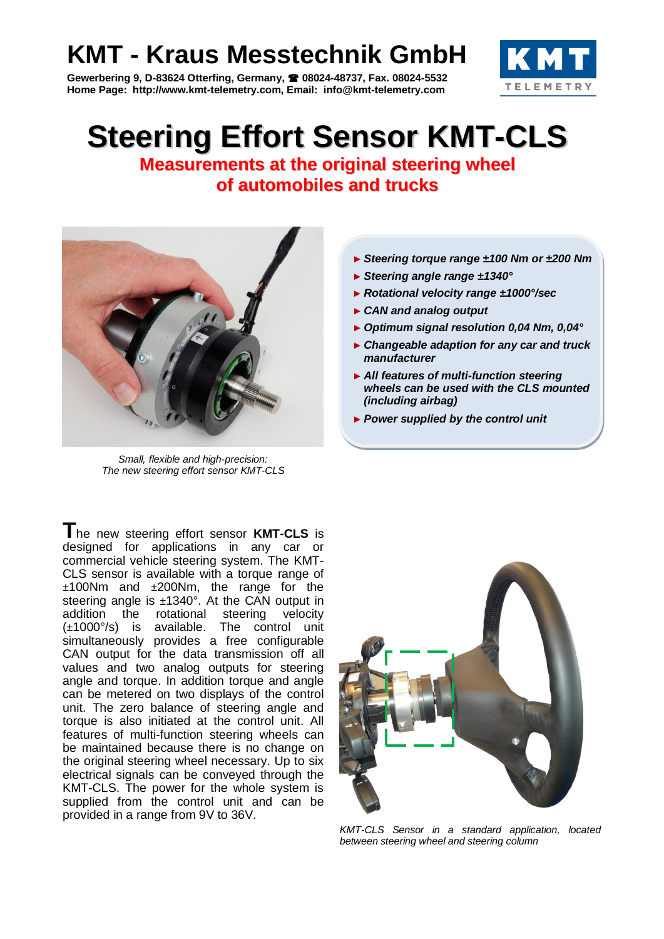## **KMT - Kraus Messtechnik GmbH**

**Gewerbering 9, D-83624 Otterfing, Germany, 08024-48737, Fax. 08024-5532 Home Page: http://www.kmt-telemetry.com, Email: info@kmt-telemetry.com**



## **Steering Effort Sensor KMT-CLS**

**Measurements at the original steering wheel of automobiles and trucks**



*Small, flexible and high-precision: The new steering effort sensor KMT-CLS*

**T**he new steering effort sensor **KMT-CLS** is designed for applications in any car or commercial vehicle steering system. The KMT-CLS sensor is available with a torque range of ±100Nm and ±200Nm, the range for the steering angle is ±1340°. At the CAN output in addition the rotational steering velocity (±1000°/s) is available. The control unit simultaneously provides a free configurable CAN output for the data transmission off all values and two analog outputs for steering angle and torque. In addition torque and angle can be metered on two displays of the control unit. The zero balance of steering angle and torque is also initiated at the control unit. All features of multi-function steering wheels can be maintained because there is no change on the original steering wheel necessary. Up to six electrical signals can be conveyed through the KMT-CLS. The power for the whole system is supplied from the control unit and can be provided in a range from 9V to 36V.

- ► *Steering torque range ±100 Nm or ±200 Nm*
- ► *Steering angle range ±1340°*
- ► *Rotational velocity range ±1000°/sec*
- ► *CAN and analog output*
- ► *Optimum signal resolution 0,04 Nm, 0,04°*
- ► *Changeable adaption for any car and truck manufacturer*
- ► *All features of multi-function steering wheels can be used with the CLS mounted (including airbag)*
- ► *Power supplied by the control unit*



*KMT-CLS Sensor in a standard application, located between steering wheel and steering column*